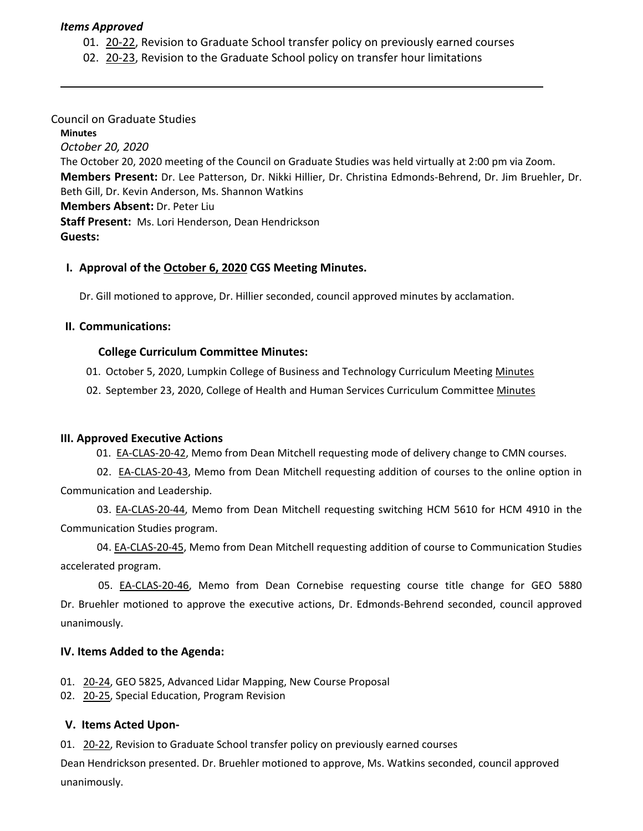#### *Items Approved*

01. [20](https://castle.eiu.edu/eiucgs/currentagendaitems/agenda20-22.pdf)‐22, Revision to Graduate School transfer policy on previously earned courses

02. 20‐[23,](https://castle.eiu.edu/eiucgs/currentagendaitems/agenda20-23.pdf) Revision to the Graduate School policy on transfer hour limitations

### Council on Graduate Studies

**Minutes**

*October 20, 2020* The October 20, 2020 meeting of the Council on Graduate Studies was held virtually at 2:00 pm via Zoom. **Members Present:** Dr. Lee Patterson, Dr. Nikki Hillier, Dr. Christina Edmonds‐Behrend, Dr. Jim Bruehler, Dr. Beth Gill, Dr. Kevin Anderson, Ms. Shannon Watkins **Members Absent:** Dr. Peter Liu

**Staff Present:** Ms. Lori Henderson, Dean Hendrickson **Guests:**

## **I. Approval of the [October](https://castle.eiu.edu/~eiucgs/currentminutes/Minutes10-6-20.pdf) 6, 2020 CGS Meeting Minutes.**

Dr. Gill motioned to approve, Dr. Hillier seconded, council approved minutes by acclamation.

#### **II. Communications:**

## **College Curriculum Committee Minutes:**

01. October 5, 2020, Lumpkin College of Business and Technology Curriculum Meeting Minutes

02. September 23, 2020, College of Health and Human Services Curriculum Committee Minutes

#### **III. Approved Executive Actions**

01. EA-[CLAS](https://castle.eiu.edu/eiucgs/exec-actions/EA-CLAS-20-42.pdf)-20-42, Memo from Dean Mitchell requesting mode of delivery change to CMN courses.

 02. EA‐[CLAS](https://castle.eiu.edu/eiucgs/exec-actions/EA-CLAS-20-43.pdf)‐20‐43, Memo from Dean Mitchell requesting addition of courses to the online option in Communication and Leadership.

 03. EA‐[CLAS](https://castle.eiu.edu/eiucgs/exec-actions/EA-CLAS-20-44.pdf)‐20‐44, Memo from Dean Mitchell requesting switching HCM 5610 for HCM 4910 in the Communication Studies program.

 04. EA‐[CLAS](https://castle.eiu.edu/eiucgs/exec-actions/EA-CLAS-20-45.pdf)‐20‐45, Memo from Dean Mitchell requesting addition of course to Communication Studies accelerated program.

05. EA‐[CLAS](https://castle.eiu.edu/eiucgs/exec-actions/EA-CLAS-20-46.pdf)‐20‐46, Memo from Dean Cornebise requesting course title change for GEO 5880 Dr. Bruehler motioned to approve the executive actions, Dr. Edmonds‐Behrend seconded, council approved unanimously.

#### **IV. Items Added to the Agenda:**

01. 20‐[24,](https://castle.eiu.edu/eiucgs/currentagendaitems/agenda20-24.pdf) GEO 5825, Advanced Lidar Mapping, New Course Proposal

02. 20‐[25,](https://castle.eiu.edu/eiucgs/currentagendaitems/agenda20-25.pdf) Special Education, Program Revision

#### **V. Items Acted Upon‐**

01. [20](https://castle.eiu.edu/eiucgs/currentagendaitems/agenda20-22.pdf)-22, Revision to Graduate School transfer policy on previously earned courses

Dean Hendrickson presented. Dr. Bruehler motioned to approve, Ms. Watkins seconded, council approved unanimously.